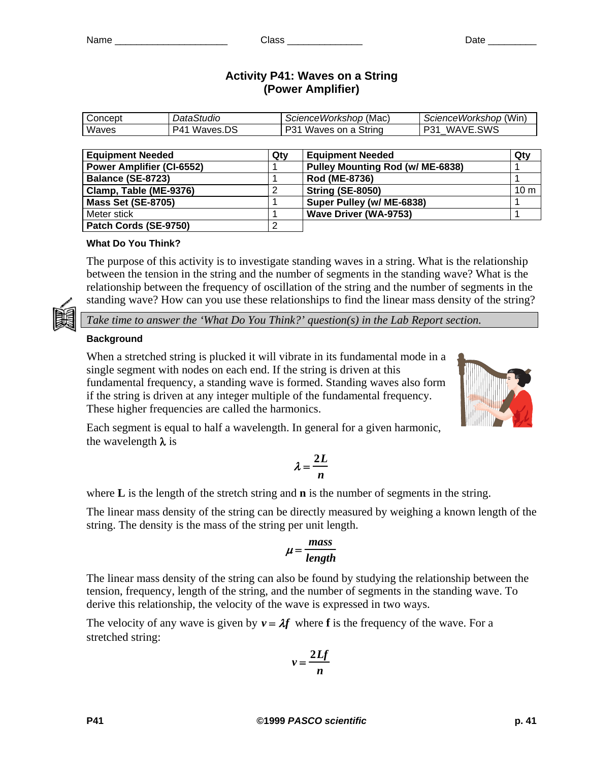## **Activity P41: Waves on a String (Power Amplifier)**

| Concept | itaStudio          | (Mac)<br>ceWorkshop<br>               | (Win)<br>;cienceWorkshop            |
|---------|--------------------|---------------------------------------|-------------------------------------|
| Waves   | .DS<br>PΔ<br>aves. | no.<br>Strino<br>w<br>≘on a ⊦<br>aves | SWS<br>ימם<br>VV A<br>$\cdot$ V $-$ |

| <b>Equipment Needed</b>          | Qtv | <b>Equipment Needed</b>          | Qtv             |
|----------------------------------|-----|----------------------------------|-----------------|
| <b>Power Amplifier (CI-6552)</b> |     | Pulley Mounting Rod (w/ ME-6838) |                 |
| Balance (SE-8723)                |     | Rod (ME-8736)                    |                 |
| Clamp, Table (ME-9376)           |     | <b>String (SE-8050)</b>          | 10 <sub>m</sub> |
| <b>Mass Set (SE-8705)</b>        |     | Super Pulley (w/ ME-6838)        |                 |
| Meter stick                      |     | Wave Driver (WA-9753)            |                 |
| Patch Cords (SE-9750)            |     |                                  |                 |

## **What Do You Think?**

The purpose of this activity is to investigate standing waves in a string. What is the relationship between the tension in the string and the number of segments in the standing wave? What is the relationship between the frequency of oscillation of the string and the number of segments in the standing wave? How can you use these relationships to find the linear mass density of the string?

*Take time to answer the 'What Do You Think?' question(s) in the Lab Report section.* 

## **Background**

When a stretched string is plucked it will vibrate in its fundamental mode in a single segment with nodes on each end. If the string is driven at this fundamental frequency, a standing wave is formed. Standing waves also form if the string is driven at any integer multiple of the fundamental frequency. These higher frequencies are called the harmonics.



Each segment is equal to half a wavelength. In general for a given harmonic, the wavelength  $\lambda$  is

$$
\lambda = \frac{2L}{n}
$$

where **L** is the length of the stretch string and **n** is the number of segments in the string.

The linear mass density of the string can be directly measured by weighing a known length of the string. The density is the mass of the string per unit length.

$$
\mu = \frac{mass}{length}
$$

The linear mass density of the string can also be found by studying the relationship between the tension, frequency, length of the string, and the number of segments in the standing wave. To derive this relationship, the velocity of the wave is expressed in two ways.

The velocity of any wave is given by  $v = \lambda f$  where **f** is the frequency of the wave. For a stretched string:

$$
v=\frac{2Lf}{n}
$$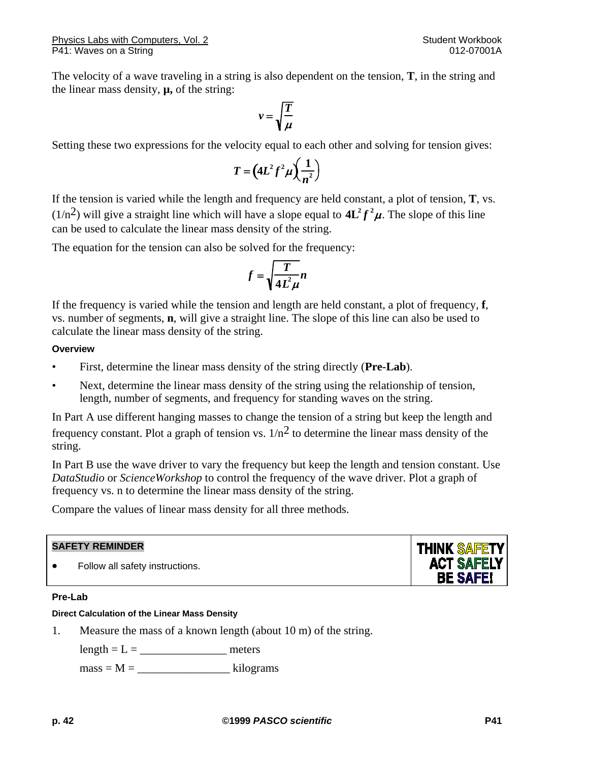The velocity of a wave traveling in a string is also dependent on the tension, **T**, in the string and the linear mass density, **µ,** of the string:

$$
v=\sqrt{\frac{T}{\mu}}
$$

Setting these two expressions for the velocity equal to each other and solving for tension gives:

$$
T = \left(4L^2f^2\mu\left(\frac{1}{n^2}\right)\right)
$$

If the tension is varied while the length and frequency are held constant, a plot of tension, **T**, vs.  $(1/n^2)$  will give a straight line which will have a slope equal to  $4L^2 f^2 \mu$ . The slope of this line can be used to calculate the linear mass density of the string.

The equation for the tension can also be solved for the frequency:

$$
f = \sqrt{\frac{T}{4L^2 \mu}} n
$$

If the frequency is varied while the tension and length are held constant, a plot of frequency, **f**, vs. number of segments, **n**, will give a straight line. The slope of this line can also be used to calculate the linear mass density of the string.

### **Overview**

- First, determine the linear mass density of the string directly (**Pre-Lab**).
- Next, determine the linear mass density of the string using the relationship of tension, length, number of segments, and frequency for standing waves on the string.

In Part A use different hanging masses to change the tension of a string but keep the length and frequency constant. Plot a graph of tension vs.  $1/n^2$  to determine the linear mass density of the string.

In Part B use the wave driver to vary the frequency but keep the length and tension constant. Use *DataStudio* or *ScienceWorkshop* to control the frequency of the wave driver. Plot a graph of frequency vs. n to determine the linear mass density of the string.

Compare the values of linear mass density for all three methods.

### **SAFETY REMINDER**

• Follow all safety instructions.

# THINK SAFETY **ACT SAFELY BE SAFE!**

### **Pre-Lab**

### **Direct Calculation of the Linear Mass Density**

1. Measure the mass of a known length (about 10 m) of the string.

 $length = L = \_ \_ \_ \_ \_ \_ \_ \_ \_ \_ \_ \_ \_ \_ \_ \_ \_$ 

mass = M = \_\_\_\_\_\_\_\_\_\_\_\_\_\_\_\_ kilograms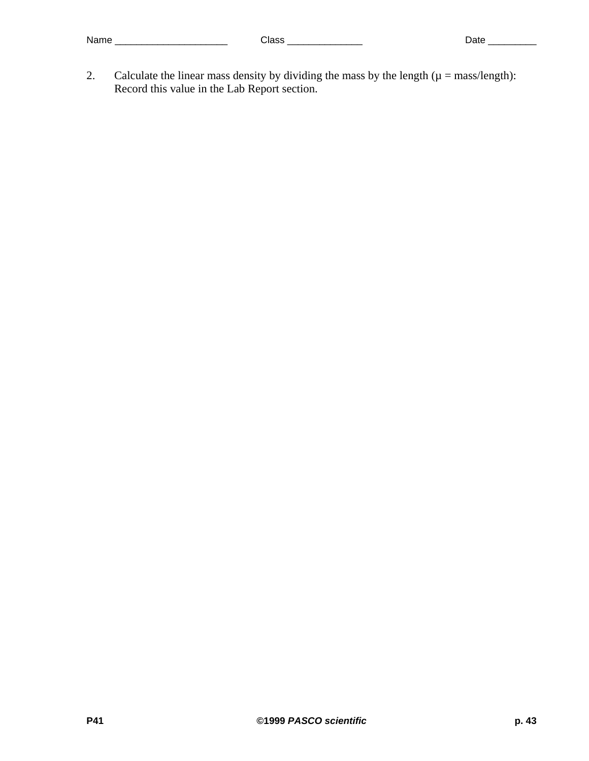| Name |  |
|------|--|
|      |  |

2. Calculate the linear mass density by dividing the mass by the length  $(\mu = \text{mass/length})$ : Record this value in the Lab Report section.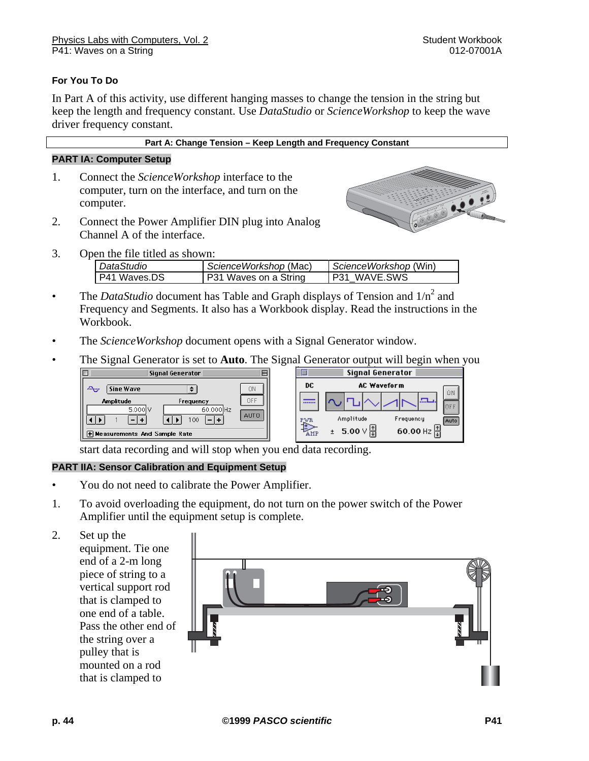## **For You To Do**

In Part A of this activity, use different hanging masses to change the tension in the string but keep the length and frequency constant. Use *DataStudio* or *ScienceWorkshop* to keep the wave driver frequency constant.

#### **PART IA: Computer Setup**

- 1. Connect the *ScienceWorkshop* interface to the computer, turn on the interface, and turn on the computer.
- 2. Connect the Power Amplifier DIN plug into Analog Channel A of the interface.



3. Open the file titled as shown:

| DataStudio   | ScienceWorkshop (Mac) | ScienceWorkshop (Win) |  |  |
|--------------|-----------------------|-----------------------|--|--|
| P41 Waves DS | P31 Waves on a String | P31 WAVE.SWS          |  |  |

- The *DataStudio* document has Table and Graph displays of Tension and  $1/n^2$  and Frequency and Segments. It also has a Workbook display. Read the instructions in the Workbook.
- The *ScienceWorkshop* document opens with a Signal Generator window.
- The Signal Generator is set to **Auto**. The Signal Generator output will begin when you





start data recording and will stop when you end data recording.

### **PART IIA: Sensor Calibration and Equipment Setup**

- You do not need to calibrate the Power Amplifier.
- 1. To avoid overloading the equipment, do not turn on the power switch of the Power Amplifier until the equipment setup is complete.
- 2. Set up the equipment. Tie one end of a 2-m long piece of string to a vertical support rod that is clamped to one end of a table. Pass the other end of the string over a pulley that is mounted on a rod that is clamped to

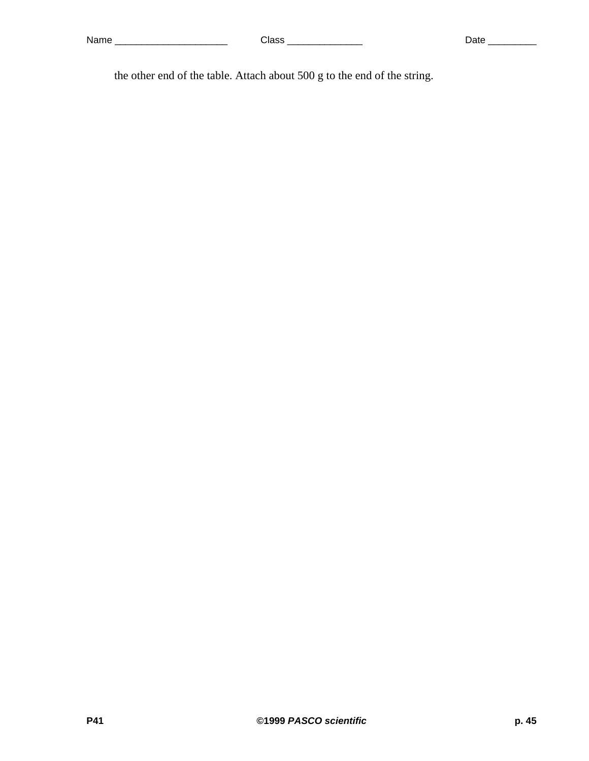the other end of the table. Attach about 500 g to the end of the string.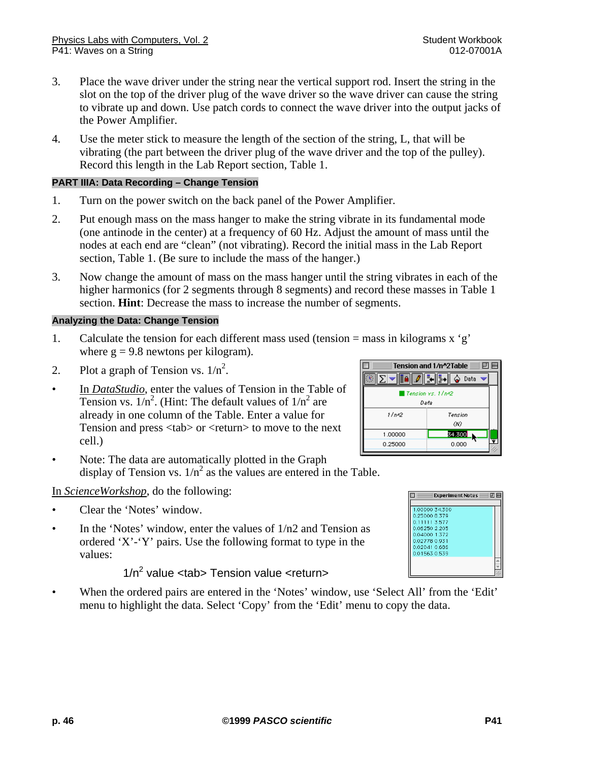- 3. Place the wave driver under the string near the vertical support rod. Insert the string in the slot on the top of the driver plug of the wave driver so the wave driver can cause the string to vibrate up and down. Use patch cords to connect the wave driver into the output jacks of the Power Amplifier.
- 4. Use the meter stick to measure the length of the section of the string, L, that will be vibrating (the part between the driver plug of the wave driver and the top of the pulley). Record this length in the Lab Report section, Table 1.

## **PART IIIA: Data Recording – Change Tension**

- 1. Turn on the power switch on the back panel of the Power Amplifier.
- 2. Put enough mass on the mass hanger to make the string vibrate in its fundamental mode (one antinode in the center) at a frequency of 60 Hz. Adjust the amount of mass until the nodes at each end are "clean" (not vibrating). Record the initial mass in the Lab Report section, Table 1. (Be sure to include the mass of the hanger.)
- 3. Now change the amount of mass on the mass hanger until the string vibrates in each of the higher harmonics (for 2 segments through 8 segments) and record these masses in Table 1 section. **Hint**: Decrease the mass to increase the number of segments.

### **Analyzing the Data: Change Tension**

- 1. Calculate the tension for each different mass used (tension  $=$  mass in kilograms x 'g' where  $g = 9.8$  newtons per kilogram).
- 2. Plot a graph of Tension vs.  $1/n^2$ .
- In *DataStudio*, enter the values of Tension in the Table of Tension vs.  $1/n^2$ . (Hint: The default values of  $1/n^2$  are already in one column of the Table. Enter a value for Tension and press <tab> or <return> to move to the next cell.)
- Note: The data are automatically plotted in the Graph display of Tension vs.  $1/n^2$  as the values are entered in the Table.

## In *ScienceWorkshop*, do the following:

- Clear the 'Notes' window.
- In the 'Notes' window, enter the values of  $1/n2$  and Tension as ordered 'X'-'Y' pairs. Use the following format to type in the values:

## $1/n^2$  value <tab> Tension value <return>

• menu to highlight the data. Select 'Copy' from the 'Edit' menu to copy the data. When the ordered pairs are entered in the 'Notes' window, use 'Select All' from the 'Edit'

| Tension and 1/n^2Table $\equiv \mathbb{H} \boxplus$ |  |  |  |
|-----------------------------------------------------|--|--|--|
| Data                                                |  |  |  |
| $\blacksquare$ Tension vs. $1/n$ 12                 |  |  |  |
| Data                                                |  |  |  |
| Tension                                             |  |  |  |
| OV)                                                 |  |  |  |
| 34.300                                              |  |  |  |
| 0.000                                               |  |  |  |
|                                                     |  |  |  |

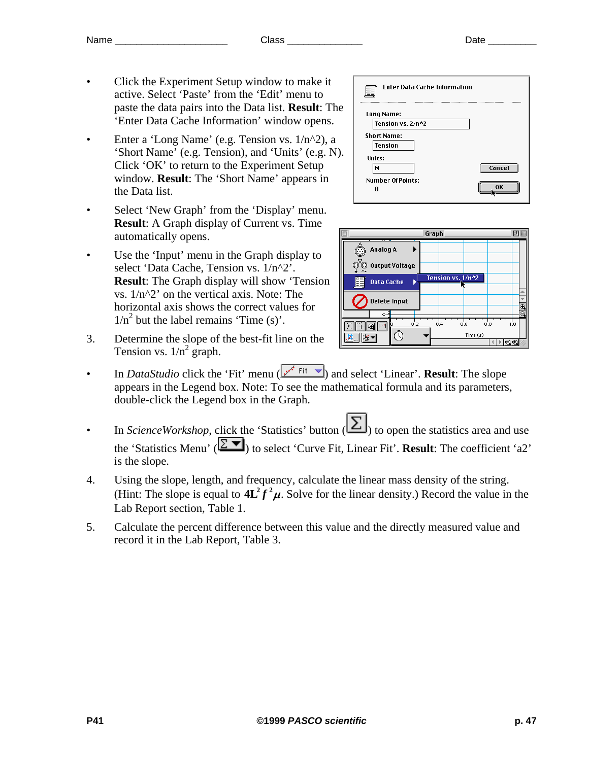- Click the Experiment Setup window to make it active. Select 'Paste' from the 'Edit' menu to paste the data pairs into the Data list. **Result**: The 'Enter Data Cache Information' window opens.
- Enter a 'Long Name' (e.g. Tension vs.  $1/n^2$ ), a 'Short Name' (e.g. Tension), and 'Units' (e.g. N). Click 'OK' to return to the Experiment Setup window. **Result**: The 'Short Name' appears in the Data list.
- Select 'New Graph' from the 'Display' menu. **Result**: A Graph display of Current vs. Time automatically opens.
- Use the 'Input' menu in the Graph display to select 'Data Cache, Tension vs. 1/n^2'. **Result**: The Graph display will show 'Tension vs. 1/n^2' on the vertical axis. Note: The horizontal axis shows the correct values for  $1/n<sup>2</sup>$  but the label remains 'Time (s)'.
- 3. Determine the slope of the best-fit line on the Tension vs.  $1/n^2$  graph.
- In *DataStudio* click the 'Fit' menu ( $\mathcal{V}^*$  Fit  $\mathbf{v}$ ) and select 'Linear'. **Result**: The slope appears in the Legend box. Note: To see the mathematical formula and its parameters, double-click the Legend box in the Graph.
- In *ScienceWorkshop*, click the 'Statistics' button ( $\sum$ ) to open the statistics area and use the 'Statistics Menu' ( $\Sigma$   $\blacksquare$ ) to select 'Curve Fit, Linear Fit'. **Result**: The coefficient 'a2' is the slope.
- 4. Using the slope, length, and frequency, calculate the linear mass density of the string. (Hint: The slope is equal to  $4L^2 f^2 \mu$ . Solve for the linear density.) Record the value in the Lab Report section, Table 1.
- 5. Calculate the percent difference between this value and the directly measured value and record it in the Lab Report, Table 3.

| <b>Enter Data Cache Information</b><br>wy wy<br>ww ww<br>w w<br><b>MAR MAR</b> |        |
|--------------------------------------------------------------------------------|--------|
| Long Name:<br>Tension vs. 2/n^2                                                |        |
| <b>Short Name:</b><br><b>Tension</b>                                           |        |
| Units:                                                                         | Cancel |
| Number Of Points:<br>8                                                         |        |

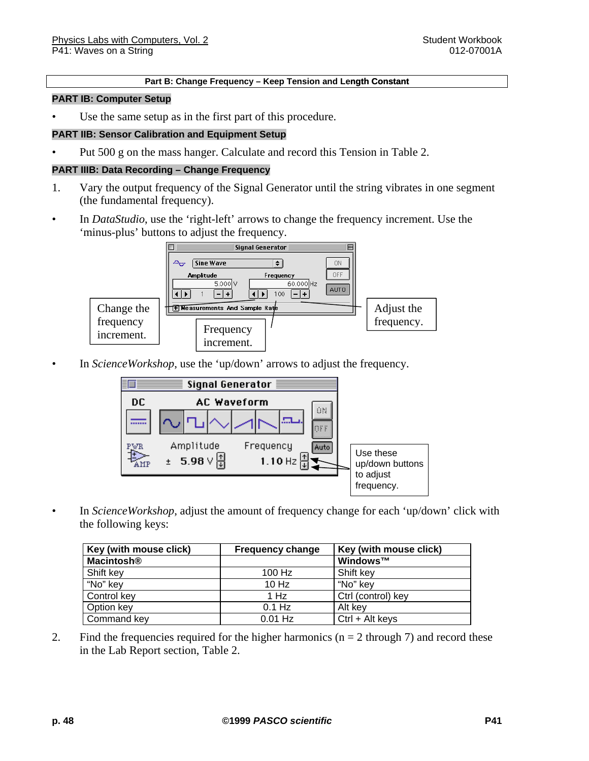#### Part B: Change Frequency - Keep Tension and Length Constant

#### **PART IB: Computer Setup**

Use the same setup as in the first part of this procedure.

#### **PART IIB: Sensor Calibration and Equipment Setup**

• Put 500 g on the mass hanger. Calculate and record this Tension in Table 2.

## **PART IIIB: Data Recording – Change Frequency**

- 1. Vary the output frequency of the Signal Generator until the string vibrates in one segment (the fundamental frequency).
- In *DataStudio*, use the 'right-left' arrows to change the frequency increment. Use the 'minus-plus' buttons to adjust the frequency.



• In *ScienceWorkshop*, use the 'up/down' arrows to adjust the frequency.



• In *ScienceWorkshop*, adjust the amount of frequency change for each 'up/down' click with the following keys:

| Key (with mouse click) | <b>Frequency change</b> | Key (with mouse click) |
|------------------------|-------------------------|------------------------|
| <b>Macintosh®</b>      |                         | Windows™               |
| Shift key              | 100 Hz                  | Shift key              |
| "No" key               | $10$ Hz                 | "No" key               |
| Control key            | 1 Hz                    | Ctrl (control) key     |
| Option key             | $0.1$ Hz                | Alt key                |
| Command key            | $0.01$ Hz               | $Ctrl + Alt$ keys      |

2. Find the frequencies required for the higher harmonics ( $n = 2$  through 7) and record these in the Lab Report section, Table 2.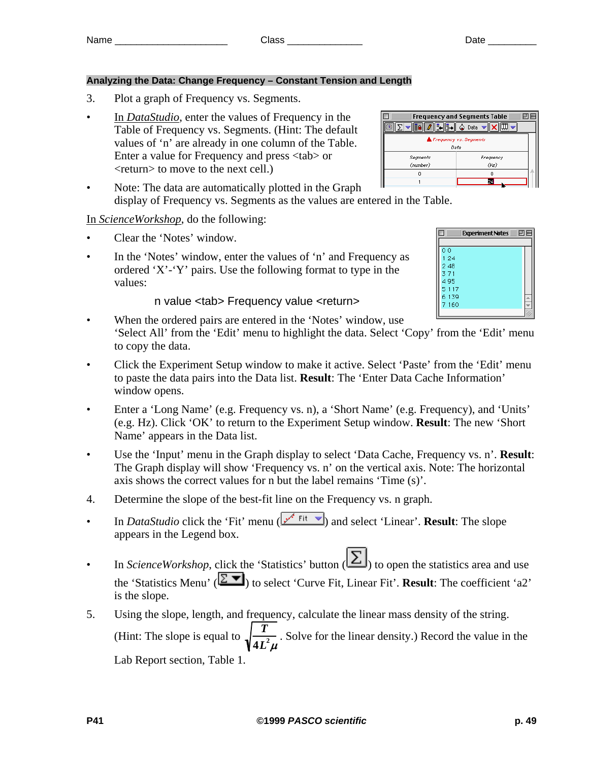## **Analyzing the Data: Change Frequency – Constant Tension and Length**

- 3. Plot a graph of Frequency vs. Segments.
- In *DataStudio*, enter the values of Frequency in the Table of Frequency vs. Segments. (Hint: The default values of 'n' are already in one column of the Table. Enter a value for Frequency and press <tab> or <return> to move to the next cell.)
- Note: The data are automatically plotted in the Graph display of Frequency vs. Segments as the values are entered in the Table.

## In *ScienceWorkshop*, do the following:

- Clear the 'Notes' window.
- In the 'Notes' window, enter the values of 'n' and Frequency as ordered 'X'-'Y' pairs. Use the following format to type in the values:

## n value <tab> Frequency value <return>

- When the ordered pairs are entered in the 'Notes' window, use 'Select All' from the 'Edit' menu to highlight the data. Select 'Copy' from the 'Edit' menu to copy the data.
- Click the Experiment Setup window to make it active. Select 'Paste' from the 'Edit' menu to paste the data pairs into the Data list. **Result**: The 'Enter Data Cache Information' window opens.
- Enter a 'Long Name' (e.g. Frequency vs. n), a 'Short Name' (e.g. Frequency), and 'Units' (e.g. Hz). Click 'OK' to return to the Experiment Setup window. **Result**: The new 'Short Name' appears in the Data list.
- Use the 'Input' menu in the Graph display to select 'Data Cache, Frequency vs. n'. **Result**: The Graph display will show 'Frequency vs. n' on the vertical axis. Note: The horizontal axis shows the correct values for n but the label remains 'Time (s)'.
- 4. Determine the slope of the best-fit line on the Frequency vs. n graph.
- In *DataStudio* click the 'Fit' menu  $(\overrightarrow{f}^{\text{fit}})$  and select 'Linear'. **Result**: The slope appears in the Legend box.
- In *ScienceWorkshop*, click the 'Statistics' button  $(\Sigma)$  to open the statistics area and use the 'Statistics Menu' ( $\Sigma$   $\blacktriangleright$ ) to select 'Curve Fit, Linear Fit'. **Result**: The coefficient 'a2' is the slope.
- 5. Using the slope, length, and frequency, calculate the linear mass density of the string. (Hint: The slope is equal to  $\sqrt{\frac{T}{T}}$  $4L^2\mu$ . Solve for the linear density.) Record the value in the Lab Report section, Table 1.

Experiment Notes  $\equiv \Box \boxplus$  $\blacksquare$  $\overline{0.0}$  $124$  $\begin{array}{|c|c|}\n 2 & 48 \\
3 & 71\n\end{array}$ 495 5 1 1 7 6 139 7 160

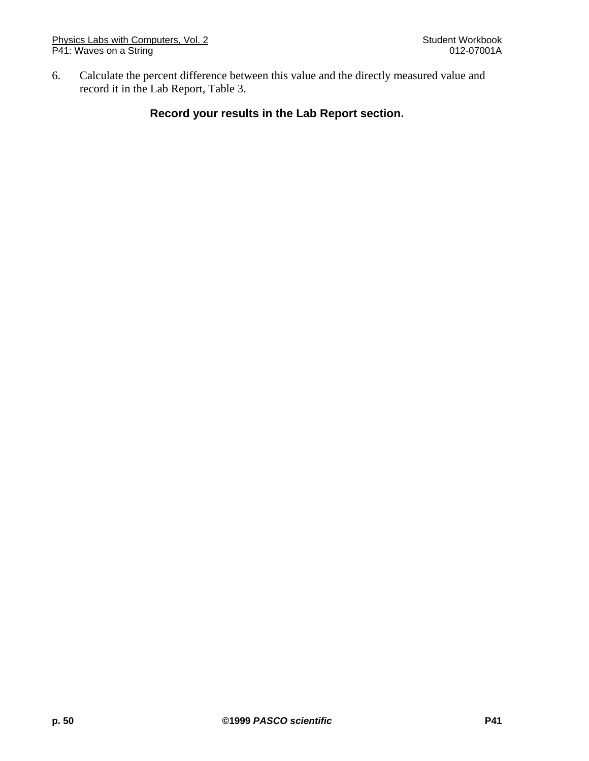6. Calculate the percent difference between this value and the directly measured value and record it in the Lab Report, Table 3.

**Record your results in the Lab Report section.**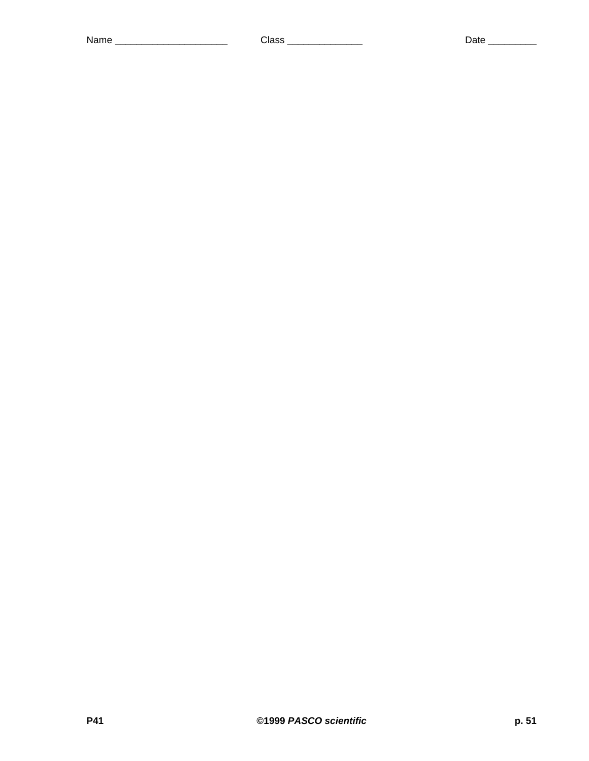| Name |  |
|------|--|
|      |  |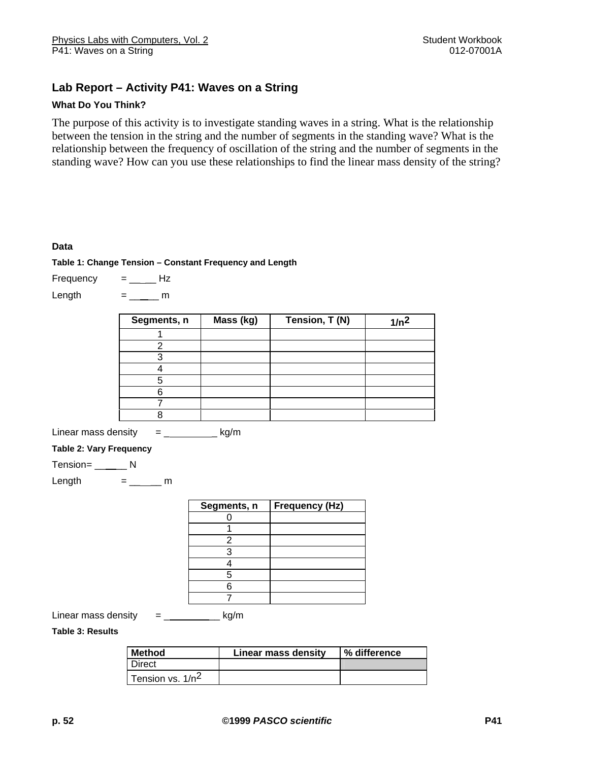## **Lab Report – Activity P41: Waves on a String**

### **What Do You Think?**

The purpose of this activity is to investigate standing waves in a string. What is the relationship between the tension in the string and the number of segments in the standing wave? What is the relationship between the frequency of oscillation of the string and the number of segments in the standing wave? How can you use these relationships to find the linear mass density of the string?

#### **Data**

| Length $=$ _____ m             | Segments, n<br>1<br>$\overline{2}$<br>3<br>$\overline{4}$<br>5<br>6<br>$\overline{7}$<br>8<br>Linear mass density $=$ _____________ kg/m | Mass (kg)                        | Tension, T (N)             | $1/n^2$      |
|--------------------------------|------------------------------------------------------------------------------------------------------------------------------------------|----------------------------------|----------------------------|--------------|
| <b>Table 2: Vary Frequency</b> |                                                                                                                                          |                                  |                            |              |
|                                |                                                                                                                                          |                                  |                            |              |
|                                |                                                                                                                                          |                                  |                            |              |
|                                |                                                                                                                                          |                                  |                            |              |
|                                |                                                                                                                                          |                                  |                            |              |
|                                |                                                                                                                                          |                                  |                            |              |
|                                |                                                                                                                                          |                                  |                            |              |
|                                |                                                                                                                                          |                                  |                            |              |
|                                |                                                                                                                                          |                                  |                            |              |
|                                |                                                                                                                                          |                                  |                            |              |
|                                |                                                                                                                                          |                                  |                            |              |
|                                |                                                                                                                                          |                                  |                            |              |
|                                |                                                                                                                                          |                                  |                            |              |
| $Tension = \_\_ N$             |                                                                                                                                          |                                  |                            |              |
| Length $=$ ______ m            |                                                                                                                                          |                                  |                            |              |
|                                |                                                                                                                                          |                                  |                            |              |
|                                |                                                                                                                                          | Segments, n                      | <b>Frequency (Hz)</b>      |              |
|                                |                                                                                                                                          | 0                                |                            |              |
|                                |                                                                                                                                          | $\mathbf 1$                      |                            |              |
|                                |                                                                                                                                          | $\overline{2}$                   |                            |              |
|                                |                                                                                                                                          | $\overline{3}$<br>$\overline{4}$ |                            |              |
|                                |                                                                                                                                          | $\overline{5}$                   |                            |              |
|                                |                                                                                                                                          | 6                                |                            |              |
|                                |                                                                                                                                          | $\overline{7}$                   |                            |              |
|                                |                                                                                                                                          |                                  |                            |              |
|                                | Linear mass density $=$ __                                                                                                               | kg/m                             |                            |              |
| <b>Table 3: Results</b>        |                                                                                                                                          |                                  |                            |              |
|                                | <b>Method</b>                                                                                                                            |                                  | <b>Linear mass density</b> | % difference |
|                                | Direct                                                                                                                                   |                                  |                            |              |
|                                | Tension vs. 1/n <sup>2</sup>                                                                                                             |                                  |                            |              |